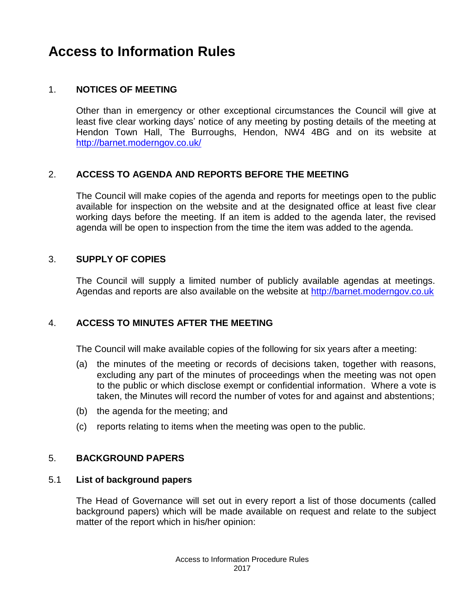# **Access to Information Rules**

## 1. **NOTICES OF MEETING**

Other than in emergency or other exceptional circumstances the Council will give at least five clear working days' notice of any meeting by posting details of the meeting at Hendon Town Hall, The Burroughs, Hendon, NW4 4BG and on its website at <http://barnet.moderngov.co.uk/>

## 2. **ACCESS TO AGENDA AND REPORTS BEFORE THE MEETING**

The Council will make copies of the agenda and reports for meetings open to the public available for inspection on the website and at the designated office at least five clear working days before the meeting. If an item is added to the agenda later, the revised agenda will be open to inspection from the time the item was added to the agenda.

### 3. **SUPPLY OF COPIES**

The Council will supply a limited number of publicly available agendas at meetings. Agendas and reports are also available on the website at [http://barnet.moderngov.co.uk](http://barnet.moderngov.co.uk/)

## 4. **ACCESS TO MINUTES AFTER THE MEETING**

The Council will make available copies of the following for six years after a meeting:

- (a) the minutes of the meeting or records of decisions taken, together with reasons, excluding any part of the minutes of proceedings when the meeting was not open to the public or which disclose exempt or confidential information. Where a vote is taken, the Minutes will record the number of votes for and against and abstentions;
- (b) the agenda for the meeting; and
- (c) reports relating to items when the meeting was open to the public.

### 5. **BACKGROUND PAPERS**

### 5.1 **List of background papers**

The Head of Governance will set out in every report a list of those documents (called background papers) which will be made available on request and relate to the subject matter of the report which in his/her opinion: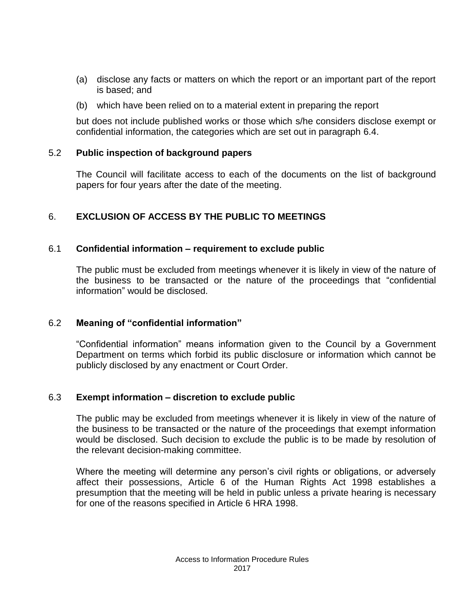- (a) disclose any facts or matters on which the report or an important part of the report is based; and
- (b) which have been relied on to a material extent in preparing the report

but does not include published works or those which s/he considers disclose exempt or confidential information, the categories which are set out in paragraph 6.4.

### 5.2 **Public inspection of background papers**

The Council will facilitate access to each of the documents on the list of background papers for four years after the date of the meeting.

# 6. **EXCLUSION OF ACCESS BY THE PUBLIC TO MEETINGS**

## 6.1 **Confidential information – requirement to exclude public**

The public must be excluded from meetings whenever it is likely in view of the nature of the business to be transacted or the nature of the proceedings that "confidential information" would be disclosed.

## 6.2 **Meaning of "confidential information"**

"Confidential information" means information given to the Council by a Government Department on terms which forbid its public disclosure or information which cannot be publicly disclosed by any enactment or Court Order.

## 6.3 **Exempt information – discretion to exclude public**

The public may be excluded from meetings whenever it is likely in view of the nature of the business to be transacted or the nature of the proceedings that exempt information would be disclosed. Such decision to exclude the public is to be made by resolution of the relevant decision-making committee.

Where the meeting will determine any person's civil rights or obligations, or adversely affect their possessions, Article 6 of the Human Rights Act 1998 establishes a presumption that the meeting will be held in public unless a private hearing is necessary for one of the reasons specified in Article 6 HRA 1998.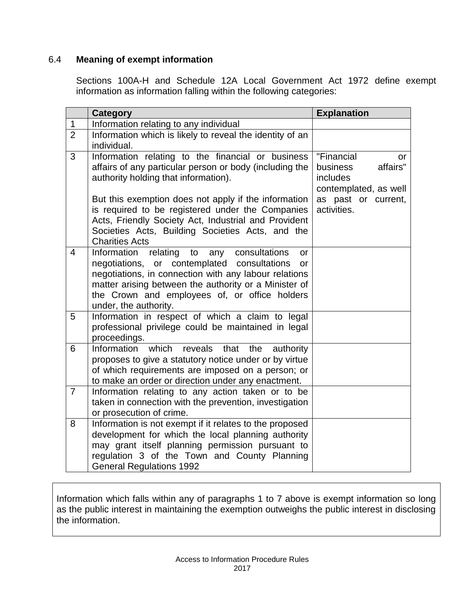# 6.4 **Meaning of exempt information**

Sections 100A-H and Schedule 12A Local Government Act 1972 define exempt information as information falling within the following categories:

|                | <b>Category</b>                                                                                                                                                                                                                                                                                           | <b>Explanation</b>                                                                                                  |
|----------------|-----------------------------------------------------------------------------------------------------------------------------------------------------------------------------------------------------------------------------------------------------------------------------------------------------------|---------------------------------------------------------------------------------------------------------------------|
| $\mathbf 1$    | Information relating to any individual                                                                                                                                                                                                                                                                    |                                                                                                                     |
| $\overline{2}$ | Information which is likely to reveal the identity of an<br>individual.                                                                                                                                                                                                                                   |                                                                                                                     |
| 3              | Information relating to the financial or business<br>affairs of any particular person or body (including the<br>authority holding that information).<br>But this exemption does not apply if the information<br>is required to be registered under the Companies                                          | "Financial<br>or<br>affairs"<br>business<br>includes<br>contemplated, as well<br>as past or current,<br>activities. |
|                | Acts, Friendly Society Act, Industrial and Provident<br>Societies Acts, Building Societies Acts, and the<br><b>Charities Acts</b>                                                                                                                                                                         |                                                                                                                     |
| 4              | Information<br>relating<br>to<br>any consultations<br>or<br>negotiations, or contemplated consultations<br>or<br>negotiations, in connection with any labour relations<br>matter arising between the authority or a Minister of<br>the Crown and employees of, or office holders<br>under, the authority. |                                                                                                                     |
| 5              | Information in respect of which a claim to legal<br>professional privilege could be maintained in legal<br>proceedings.                                                                                                                                                                                   |                                                                                                                     |
| 6              | which<br>Information<br>reveals<br>that<br>authority<br>the<br>proposes to give a statutory notice under or by virtue<br>of which requirements are imposed on a person; or<br>to make an order or direction under any enactment.                                                                          |                                                                                                                     |
| $\overline{7}$ | Information relating to any action taken or to be<br>taken in connection with the prevention, investigation<br>or prosecution of crime.                                                                                                                                                                   |                                                                                                                     |
| 8              | Information is not exempt if it relates to the proposed<br>development for which the local planning authority<br>may grant itself planning permission pursuant to<br>regulation 3 of the Town and County Planning<br><b>General Regulations 1992</b>                                                      |                                                                                                                     |

Information which falls within any of paragraphs 1 to 7 above is exempt information so long as the public interest in maintaining the exemption outweighs the public interest in disclosing the information.